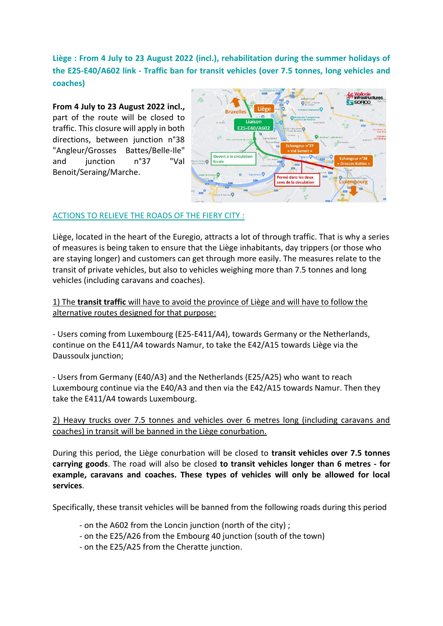# **Liège : From 4 July to 23 August 2022 (incl.), rehabilitation during the summer holidays of the E25-E40/A602 link - Traffic ban for transit vehicles (over 7.5 tonnes, long vehicles and coaches)**

**From 4 July to 23 August 2022 incl.,**  part of the route will be closed to traffic. This closure will apply in both directions, between junction n°38 "Angleur/Grosses Battes/Belle-Ile" and iunction n°37 "Val Benoit/Seraing/Marche.



# ACTIONS TO RELIEVE THE ROADS OF THE FIERY CITY :

Liège, located in the heart of the Euregio, attracts a lot of through traffic. That is why a series of measures is being taken to ensure that the Liège inhabitants, day trippers (or those who are staying longer) and customers can get through more easily. The measures relate to the transit of private vehicles, but also to vehicles weighing more than 7.5 tonnes and long vehicles (including caravans and coaches).

1) The **transit traffic** will have to avoid the province of Liège and will have to follow the alternative routes designed for that purpose:

- Users coming from Luxembourg (E25-E411/A4), towards Germany or the Netherlands, continue on the E411/A4 towards Namur, to take the E42/A15 towards Liège via the Daussoulx junction:

- Users from Germany (E40/A3) and the Netherlands (E25/A25) who want to reach Luxembourg continue via the E40/A3 and then via the E42/A15 towards Namur. Then they take the E411/A4 towards Luxembourg.

2) Heavy trucks over 7.5 tonnes and vehicles over 6 metres long (including caravans and coaches) in transit will be banned in the Liège conurbation.

During this period, the Liège conurbation will be closed to **transit vehicles over 7.5 tonnes carrying goods**. The road will also be closed **to transit vehicles longer than 6 metres - for example, caravans and coaches. These types of vehicles will only be allowed for local services**.

Specifically, these transit vehicles will be banned from the following roads during this period

- on the A602 from the Loncin junction (north of the city) ;
- on the E25/A26 from the Embourg 40 junction (south of the town)
- on the E25/A25 from the Cheratte junction.